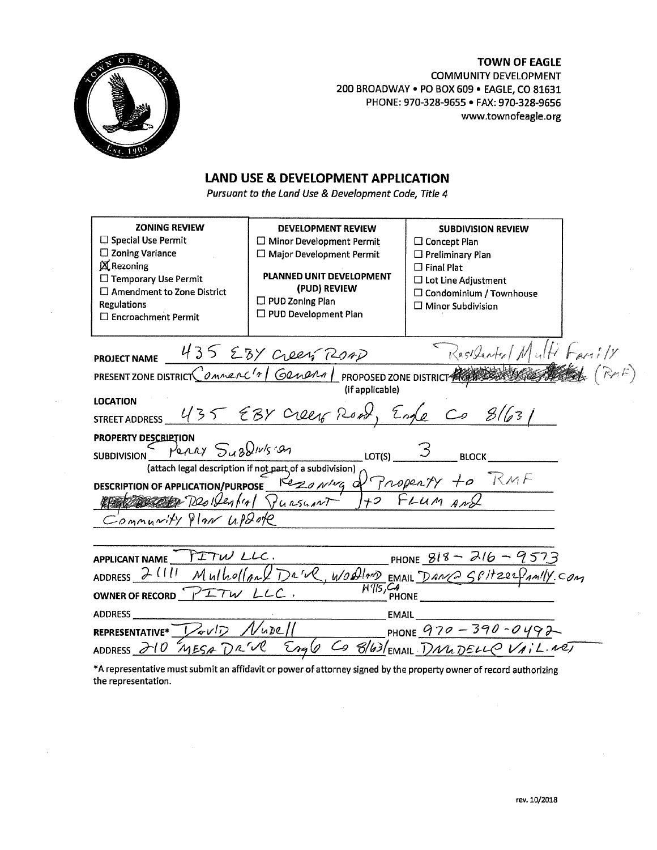## **TOWN OF EAGLE**



**COMMUNITY DEVELOPMENT** 200 BROADWAY . PO BOX 609 . EAGLE, CO 81631 PHONE: 970-328-9655 · FAX: 970-328-9656 www.townofeagle.org

## **LAND USE & DEVELOPMENT APPLICATION**

Pursuant to the Land Use & Development Code, Title 4

| <b>ZONING REVIEW</b><br>$\Box$ Special Use Permit<br>$\square$ Zoning Variance<br><b>X</b> Rezoning<br>□ Temporary Use Permit<br>$\square$ Amendment to Zone District<br><b>Regulations</b><br>$\square$ Encroachment Permit | <b>DEVELOPMENT REVIEW</b><br>$\Box$ Minor Development Permit<br>$\Box$ Major Development Permit<br>PLANNED UNIT DEVELOPMENT<br>(PUD) REVIEW<br>$\Box$ PUD Zoning Plan<br>$\Box$ PUD Development Plan | <b>SUBDIVISION REVIEW</b><br>$\Box$ Concept Plan<br>$\Box$ Preliminary Plan<br>$\Box$ Final Plat<br>$\Box$ Lot Line Adjustment<br>$\Box$ Condominium / Townhouse<br>$\Box$ Minor Subdivision |  |
|------------------------------------------------------------------------------------------------------------------------------------------------------------------------------------------------------------------------------|------------------------------------------------------------------------------------------------------------------------------------------------------------------------------------------------------|----------------------------------------------------------------------------------------------------------------------------------------------------------------------------------------------|--|
| Residented Multi Family<br>PROJECT NAME 435 EBY CLOCK ROAD<br>PRESENT ZONE DISTRICT COMMERC'T GRAPHA   PROPOSED ZONE DISTRICT                                                                                                |                                                                                                                                                                                                      |                                                                                                                                                                                              |  |
| (if applicable)                                                                                                                                                                                                              |                                                                                                                                                                                                      |                                                                                                                                                                                              |  |
| <b>LOCATION</b>                                                                                                                                                                                                              |                                                                                                                                                                                                      |                                                                                                                                                                                              |  |
| STREET ADDRESS 435 EBY CLOCK ROAD, Engle Co 8/631                                                                                                                                                                            |                                                                                                                                                                                                      |                                                                                                                                                                                              |  |
| <b>PROPERTY DESCRIPTION</b>                                                                                                                                                                                                  |                                                                                                                                                                                                      |                                                                                                                                                                                              |  |
| PORRY SuBDING On<br>LOT(S)<br><b>SUBDIVISION</b><br><b>BLOCK</b>                                                                                                                                                             |                                                                                                                                                                                                      |                                                                                                                                                                                              |  |
| (attach legal description if not part of a subdivision),<br>DESCRIPTION OF APPLICATION/PURPOSE Rezo N/MG of Property to RMF                                                                                                  |                                                                                                                                                                                                      |                                                                                                                                                                                              |  |
| RESERVE Residential Punsuant 170 FLUM AND                                                                                                                                                                                    |                                                                                                                                                                                                      |                                                                                                                                                                                              |  |
|                                                                                                                                                                                                                              |                                                                                                                                                                                                      |                                                                                                                                                                                              |  |
| Community Plan update                                                                                                                                                                                                        |                                                                                                                                                                                                      |                                                                                                                                                                                              |  |
|                                                                                                                                                                                                                              |                                                                                                                                                                                                      |                                                                                                                                                                                              |  |
| APPLICANT NAME FITW LLC.<br>PHONE $818 - 216 - 9573$                                                                                                                                                                         |                                                                                                                                                                                                      |                                                                                                                                                                                              |  |
| ADDRESS 2 (111 Mulholland DR'VR, WOODLAND EMAIL DANCE SPITZERPAMILY.COM                                                                                                                                                      |                                                                                                                                                                                                      |                                                                                                                                                                                              |  |
| $W  5, C, C$<br>PHONE<br>OWNER OF RECORD FITW LLC.                                                                                                                                                                           |                                                                                                                                                                                                      |                                                                                                                                                                                              |  |
| <b>ADDRESS</b><br><b>EMAIL</b>                                                                                                                                                                                               |                                                                                                                                                                                                      |                                                                                                                                                                                              |  |
| $\sqrt{uDCM}$<br>PHONE $970 - 390 - 0492$<br>REPRESENTATIVE* VOID                                                                                                                                                            |                                                                                                                                                                                                      |                                                                                                                                                                                              |  |
| Engle Co 8/63/EMAIL DNUDELL VAIL NET<br>ADDRESS 210 MESA DRW                                                                                                                                                                 |                                                                                                                                                                                                      |                                                                                                                                                                                              |  |
|                                                                                                                                                                                                                              |                                                                                                                                                                                                      |                                                                                                                                                                                              |  |

\*A representative must submit an affidavit or power of attorney signed by the property owner of record authorizing the representation.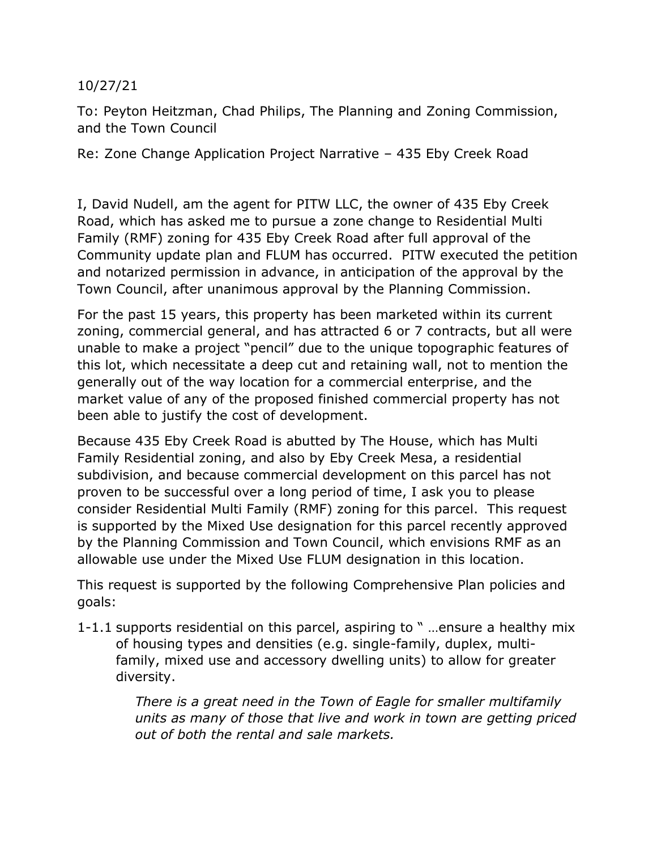## 10/27/21

To: Peyton Heitzman, Chad Philips, The Planning and Zoning Commission, and the Town Council

Re: Zone Change Application Project Narrative – 435 Eby Creek Road

I, David Nudell, am the agent for PITW LLC, the owner of 435 Eby Creek Road, which has asked me to pursue a zone change to Residential Multi Family (RMF) zoning for 435 Eby Creek Road after full approval of the Community update plan and FLUM has occurred. PITW executed the petition and notarized permission in advance, in anticipation of the approval by the Town Council, after unanimous approval by the Planning Commission.

For the past 15 years, this property has been marketed within its current zoning, commercial general, and has attracted 6 or 7 contracts, but all were unable to make a project "pencil" due to the unique topographic features of this lot, which necessitate a deep cut and retaining wall, not to mention the generally out of the way location for a commercial enterprise, and the market value of any of the proposed finished commercial property has not been able to justify the cost of development.

Because 435 Eby Creek Road is abutted by The House, which has Multi Family Residential zoning, and also by Eby Creek Mesa, a residential subdivision, and because commercial development on this parcel has not proven to be successful over a long period of time, I ask you to please consider Residential Multi Family (RMF) zoning for this parcel. This request is supported by the Mixed Use designation for this parcel recently approved by the Planning Commission and Town Council, which envisions RMF as an allowable use under the Mixed Use FLUM designation in this location.

This request is supported by the following Comprehensive Plan policies and goals:

1-1.1 supports residential on this parcel, aspiring to " …ensure a healthy mix of housing types and densities (e.g. single-family, duplex, multifamily, mixed use and accessory dwelling units) to allow for greater diversity.

> *There is a great need in the Town of Eagle for smaller multifamily units as many of those that live and work in town are getting priced out of both the rental and sale markets.*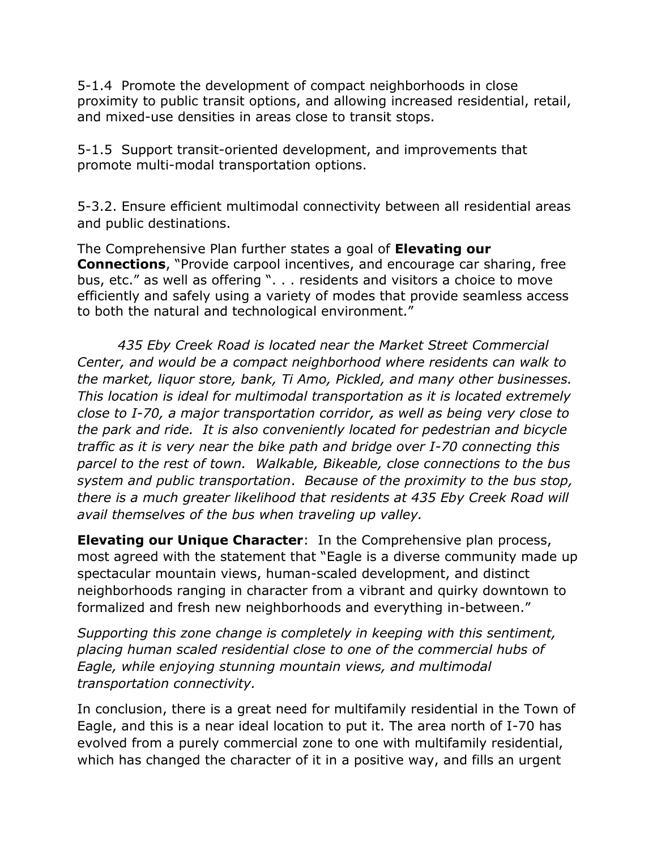5-1.4 Promote the development of compact neighborhoods in close proximity to public transit options, and allowing increased residential, retail, and mixed-use densities in areas close to transit stops.

5-1.5 Support transit-oriented development, and improvements that promote multi-modal transportation options.

5-3.2. Ensure efficient multimodal connectivity between all residential areas and public destinations.

The Comprehensive Plan further states a goal of **Elevating our Connections**, "Provide carpool incentives, and encourage car sharing, free bus, etc." as well as offering ". . . residents and visitors a choice to move efficiently and safely using a variety of modes that provide seamless access to both the natural and technological environment."

 *435 Eby Creek Road is located near the Market Street Commercial Center, and would be a compact neighborhood where residents can walk to the market, liquor store, bank, Ti Amo, Pickled, and many other businesses. This location is ideal for multimodal transportation as it is located extremely close to I-70, a major transportation corridor, as well as being very close to the park and ride. It is also conveniently located for pedestrian and bicycle traffic as it is very near the bike path and bridge over I-70 connecting this parcel to the rest of town. Walkable, Bikeable, close connections to the bus system and public transportation*. *Because of the proximity to the bus stop, there is a much greater likelihood that residents at 435 Eby Creek Road will avail themselves of the bus when traveling up valley.*

**Elevating our Unique Character**: In the Comprehensive plan process, most agreed with the statement that "Eagle is a diverse community made up spectacular mountain views, human-scaled development, and distinct neighborhoods ranging in character from a vibrant and quirky downtown to formalized and fresh new neighborhoods and everything in-between."

*Supporting this zone change is completely in keeping with this sentiment, placing human scaled residential close to one of the commercial hubs of Eagle, while enjoying stunning mountain views, and multimodal transportation connectivity.*

In conclusion, there is a great need for multifamily residential in the Town of Eagle, and this is a near ideal location to put it. The area north of I-70 has evolved from a purely commercial zone to one with multifamily residential, which has changed the character of it in a positive way, and fills an urgent